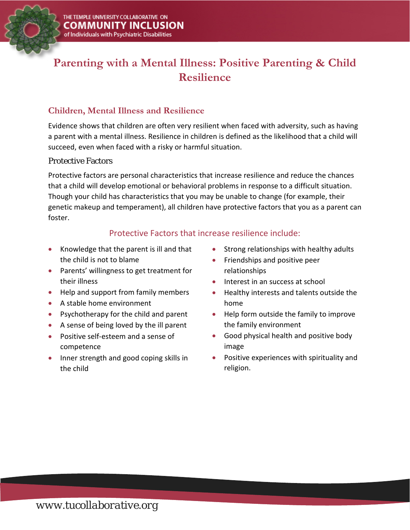

# **Parenting with a Mental Illness: Positive Parenting & Child Resilience**

# **Children, Mental Illness and Resilience**

Evidence shows that children are often very resilient when faced with adversity, such as having a parent with a mental illness. Resilience in children is defined as the likelihood that a child will succeed, even when faced with a risky or harmful situation.

#### Protective Factors

Protective factors are personal characteristics that increase resilience and reduce the chances that a child will develop emotional or behavioral problems in response to a difficult situation. Though your child has characteristics that you may be unable to change (for example, their genetic makeup and temperament), all children have protective factors that you as a parent can foster.

## Protective Factors that increase resilience include:

- Knowledge that the parent is ill and that the child is not to blame
- Parents' willingness to get treatment for their illness
- Help and support from family members
- A stable home environment
- Psychotherapy for the child and parent
- A sense of being loved by the ill parent
- Positive self-esteem and a sense of competence
- Inner strength and good coping skills in the child
- Strong relationships with healthy adults
- Friendships and positive peer relationships
- Interest in an success at school
- Healthy interests and talents outside the home
- Help form outside the family to improve the family environment
- Good physical health and positive body image
- Positive experiences with spirituality and religion.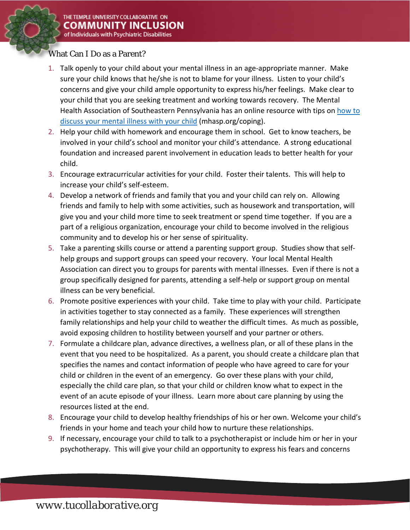### What Can I Do as a Parent?

- 1. Talk openly to your child about your mental illness in an age-appropriate manner. Make sure your child knows that he/she is not to blame for your illness. Listen to your child's concerns and give your child ample opportunity to express his/her feelings. Make clear to your child that you are seeking treatment and working towards recovery. The Mental Health Association of Southeastern Pennsylvania has an online resource with tips on [how to](http://www.mhasp.org/coping)  [discuss your mental illness with your child](http://www.mhasp.org/coping) (mhasp.org/coping).
- 2. Help your child with homework and encourage them in school. Get to know teachers, be involved in your child's school and monitor your child's attendance. A strong educational foundation and increased parent involvement in education leads to better health for your child.
- 3. Encourage extracurricular activities for your child. Foster their talents. This will help to increase your child's self-esteem.
- 4. Develop a network of friends and family that you and your child can rely on. Allowing friends and family to help with some activities, such as housework and transportation, will give you and your child more time to seek treatment or spend time together. If you are a part of a religious organization, encourage your child to become involved in the religious community and to develop his or her sense of spirituality.
- 5. Take a parenting skills course or attend a parenting support group. Studies show that selfhelp groups and support groups can speed your recovery. Your local Mental Health Association can direct you to groups for parents with mental illnesses. Even if there is not a group specifically designed for parents, attending a self-help or support group on mental illness can be very beneficial.
- 6. Promote positive experiences with your child. Take time to play with your child. Participate in activities together to stay connected as a family. These experiences will strengthen family relationships and help your child to weather the difficult times. As much as possible, avoid exposing children to hostility between yourself and your partner or others.
- 7. Formulate a childcare plan, advance directives, a wellness plan, or all of these plans in the event that you need to be hospitalized. As a parent, you should create a childcare plan that specifies the names and contact information of people who have agreed to care for your child or children in the event of an emergency. Go over these plans with your child, especially the child care plan, so that your child or children know what to expect in the event of an acute episode of your illness. Learn more about care planning by using the resources listed at the end.
- 8. Encourage your child to develop healthy friendships of his or her own. Welcome your child's friends in your home and teach your child how to nurture these relationships.
- 9. If necessary, encourage your child to talk to a psychotherapist or include him or her in your psychotherapy. This will give your child an opportunity to express his fears and concerns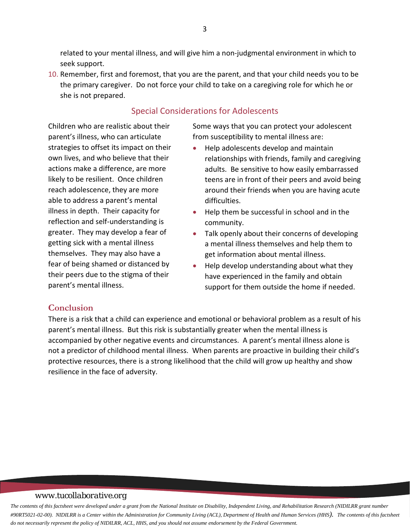related to your mental illness, and will give him a non-judgmental environment in which to seek support.

10. Remember, first and foremost, that you are the parent, and that your child needs you to be the primary caregiver. Do not force your child to take on a caregiving role for which he or she is not prepared.

#### Special Considerations for Adolescents

Children who are realistic about their parent's illness, who can articulate strategies to offset its impact on their own lives, and who believe that their actions make a difference, are more likely to be resilient. Once children reach adolescence, they are more able to address a parent's mental illness in depth. Their capacity for reflection and self-understanding is greater. They may develop a fear of getting sick with a mental illness themselves. They may also have a fear of being shamed or distanced by their peers due to the stigma of their parent's mental illness.

Some ways that you can protect your adolescent from susceptibility to mental illness are:

- Help adolescents develop and maintain relationships with friends, family and caregiving adults. Be sensitive to how easily embarrassed teens are in front of their peers and avoid being around their friends when you are having acute difficulties.
- Help them be successful in school and in the community.
- Talk openly about their concerns of developing a mental illness themselves and help them to get information about mental illness.
- Help develop understanding about what they have experienced in the family and obtain support for them outside the home if needed.

### **Conclusion**

There is a risk that a child can experience and emotional or behavioral problem as a result of his parent's mental illness. But this risk is substantially greater when the mental illness is accompanied by other negative events and circumstances. A parent's mental illness alone is not a predictor of childhood mental illness. When parents are proactive in building their child's protective resources, there is a strong likelihood that the child will grow up healthy and show resilience in the face of adversity.

#### *www.tucollaborative.org*

*The contents of this factsheet were developed under a grant from the National Institute on Disability, Independent Living, and Rehabilitation Research (NIDILRR grant number*  #90RT5021-02-00). NIDILRR is a Center within the Administration for Community Living (ACL), Department of Health and Human Services (HHS). The contents of this factsheet *do not necessarily represent the policy of NIDILRR, ACL, HHS, and you should not assume endorsement by the Federal Government.*